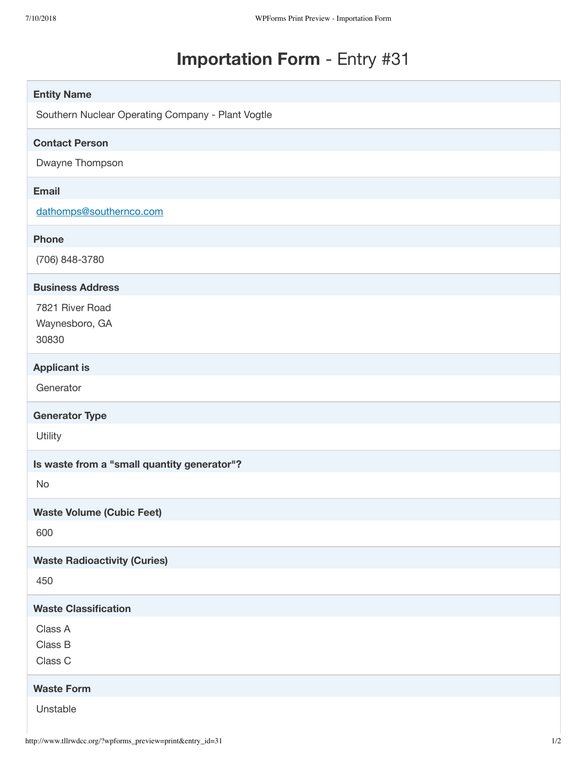# **Importation Form** - Entry #31

| <b>Entity Name</b>                                |
|---------------------------------------------------|
| Southern Nuclear Operating Company - Plant Vogtle |
| <b>Contact Person</b>                             |
| Dwayne Thompson                                   |
| <b>Email</b>                                      |
| dathomps@southernco.com                           |
| <b>Phone</b>                                      |
| (706) 848-3780                                    |
| <b>Business Address</b>                           |
| 7821 River Road                                   |
| Waynesboro, GA<br>30830                           |
|                                                   |
| <b>Applicant is</b><br>Generator                  |
|                                                   |
|                                                   |
| <b>Generator Type</b>                             |
| Utility                                           |
| Is waste from a "small quantity generator"?       |
| No                                                |
| <b>Waste Volume (Cubic Feet)</b>                  |
| 600                                               |
| <b>Waste Radioactivity (Curies)</b>               |
| 450                                               |
| <b>Waste Classification</b>                       |
| Class A                                           |
| Class B                                           |
| Class C                                           |
| <b>Waste Form</b>                                 |